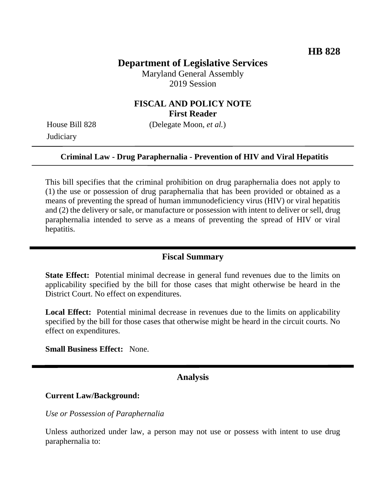# **Department of Legislative Services**

Maryland General Assembly 2019 Session

# **FISCAL AND POLICY NOTE First Reader**

House Bill 828 (Delegate Moon, *et al.*) **Judiciary** 

#### **Criminal Law - Drug Paraphernalia - Prevention of HIV and Viral Hepatitis**

This bill specifies that the criminal prohibition on drug paraphernalia does not apply to (1) the use or possession of drug paraphernalia that has been provided or obtained as a means of preventing the spread of human immunodeficiency virus (HIV) or viral hepatitis and (2) the delivery or sale, or manufacture or possession with intent to deliver or sell, drug paraphernalia intended to serve as a means of preventing the spread of HIV or viral hepatitis.

#### **Fiscal Summary**

**State Effect:** Potential minimal decrease in general fund revenues due to the limits on applicability specified by the bill for those cases that might otherwise be heard in the District Court. No effect on expenditures.

Local Effect: Potential minimal decrease in revenues due to the limits on applicability specified by the bill for those cases that otherwise might be heard in the circuit courts. No effect on expenditures.

**Small Business Effect:** None.

## **Analysis**

#### **Current Law/Background:**

*Use or Possession of Paraphernalia* 

Unless authorized under law, a person may not use or possess with intent to use drug paraphernalia to: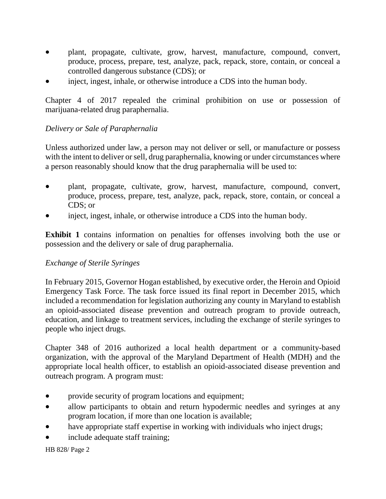- plant, propagate, cultivate, grow, harvest, manufacture, compound, convert, produce, process, prepare, test, analyze, pack, repack, store, contain, or conceal a controlled dangerous substance (CDS); or
- inject, ingest, inhale, or otherwise introduce a CDS into the human body.

Chapter 4 of 2017 repealed the criminal prohibition on use or possession of marijuana-related drug paraphernalia.

# *Delivery or Sale of Paraphernalia*

Unless authorized under law, a person may not deliver or sell, or manufacture or possess with the intent to deliver or sell, drug paraphernalia, knowing or under circumstances where a person reasonably should know that the drug paraphernalia will be used to:

- plant, propagate, cultivate, grow, harvest, manufacture, compound, convert, produce, process, prepare, test, analyze, pack, repack, store, contain, or conceal a CDS; or
- inject, ingest, inhale, or otherwise introduce a CDS into the human body.

**Exhibit 1** contains information on penalties for offenses involving both the use or possession and the delivery or sale of drug paraphernalia.

## *Exchange of Sterile Syringes*

In February 2015, Governor Hogan established, by executive order, the Heroin and Opioid Emergency Task Force. The task force issued its final report in December 2015, which included a recommendation for legislation authorizing any county in Maryland to establish an opioid-associated disease prevention and outreach program to provide outreach, education, and linkage to treatment services, including the exchange of sterile syringes to people who inject drugs.

Chapter 348 of 2016 authorized a local health department or a community-based organization, with the approval of the Maryland Department of Health (MDH) and the appropriate local health officer, to establish an opioid-associated disease prevention and outreach program. A program must:

- provide security of program locations and equipment;
- allow participants to obtain and return hypodermic needles and syringes at any program location, if more than one location is available;
- have appropriate staff expertise in working with individuals who inject drugs;
- include adequate staff training;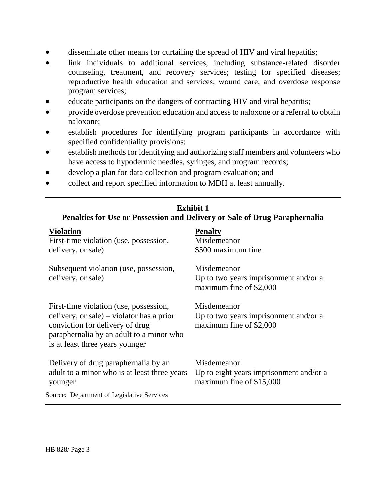- disseminate other means for curtailing the spread of HIV and viral hepatitis;
- link individuals to additional services, including substance-related disorder counseling, treatment, and recovery services; testing for specified diseases; reproductive health education and services; wound care; and overdose response program services;
- educate participants on the dangers of contracting HIV and viral hepatitis;
- provide overdose prevention education and access to naloxone or a referral to obtain naloxone;
- establish procedures for identifying program participants in accordance with specified confidentiality provisions;
- establish methods for identifying and authorizing staff members and volunteers who have access to hypodermic needles, syringes, and program records;
- develop a plan for data collection and program evaluation; and
- collect and report specified information to MDH at least annually.

| <b>Exhibit 1</b><br>Penalties for Use or Possession and Delivery or Sale of Drug Paraphernalia                                                                                                        |                                                                                    |
|-------------------------------------------------------------------------------------------------------------------------------------------------------------------------------------------------------|------------------------------------------------------------------------------------|
| <b>Violation</b><br>First-time violation (use, possession,<br>delivery, or sale)                                                                                                                      | <b>Penalty</b><br>Misdemeanor<br>\$500 maximum fine                                |
| Subsequent violation (use, possession,<br>delivery, or sale)                                                                                                                                          | Misdemeanor<br>Up to two years imprisonment and/or a<br>maximum fine of \$2,000    |
| First-time violation (use, possession,<br>delivery, or sale) – violator has a prior<br>conviction for delivery of drug<br>paraphernalia by an adult to a minor who<br>is at least three years younger | Misdemeanor<br>Up to two years imprisonment and/or a<br>maximum fine of \$2,000    |
| Delivery of drug paraphernalia by an<br>adult to a minor who is at least three years<br>younger                                                                                                       | Misdemeanor<br>Up to eight years imprisonment and/or a<br>maximum fine of \$15,000 |
| Source: Department of Legislative Services                                                                                                                                                            |                                                                                    |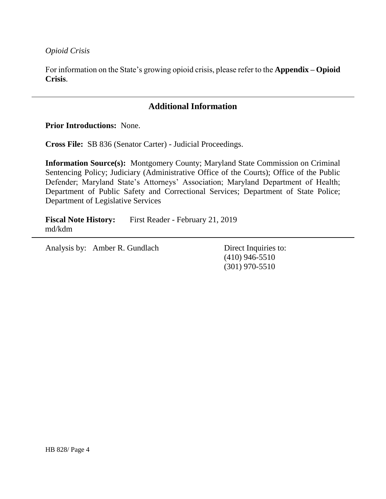*Opioid Crisis*

For information on the State's growing opioid crisis, please refer to the **Appendix – Opioid Crisis**.

# **Additional Information**

**Prior Introductions:** None.

**Cross File:** SB 836 (Senator Carter) - Judicial Proceedings.

**Information Source(s):** Montgomery County; Maryland State Commission on Criminal Sentencing Policy; Judiciary (Administrative Office of the Courts); Office of the Public Defender; Maryland State's Attorneys' Association; Maryland Department of Health; Department of Public Safety and Correctional Services; Department of State Police; Department of Legislative Services

**Fiscal Note History:** First Reader - February 21, 2019 md/kdm

Analysis by: Amber R. Gundlach Direct Inquiries to:

(410) 946-5510 (301) 970-5510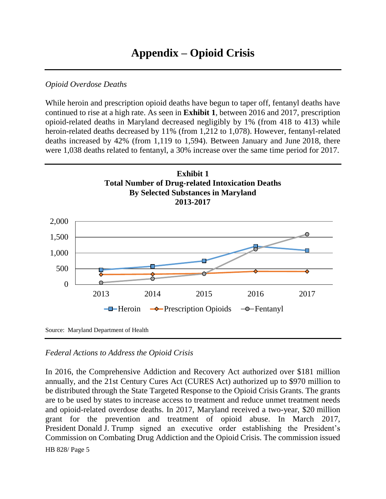## *Opioid Overdose Deaths*

While heroin and prescription opioid deaths have begun to taper off, fentanyl deaths have continued to rise at a high rate. As seen in **Exhibit 1**, between 2016 and 2017, prescription opioid-related deaths in Maryland decreased negligibly by 1% (from 418 to 413) while heroin-related deaths decreased by 11% (from 1,212 to 1,078). However, fentanyl-related deaths increased by 42% (from 1,119 to 1,594). Between January and June 2018, there were 1,038 deaths related to fentanyl, a 30% increase over the same time period for 2017.



## *Federal Actions to Address the Opioid Crisis*

HB 828/ Page 5 In 2016, the Comprehensive Addiction and Recovery Act authorized over \$181 million annually, and the 21st Century Cures Act (CURES Act) authorized up to \$970 million to be distributed through the State Targeted Response to the Opioid Crisis Grants. The grants are to be used by states to increase access to treatment and reduce unmet treatment needs and opioid-related overdose deaths. In 2017, Maryland received a two-year, \$20 million grant for the prevention and treatment of opioid abuse. In March 2017, President Donald J. Trump signed an executive order establishing the President's Commission on Combating Drug Addiction and the Opioid Crisis. The commission issued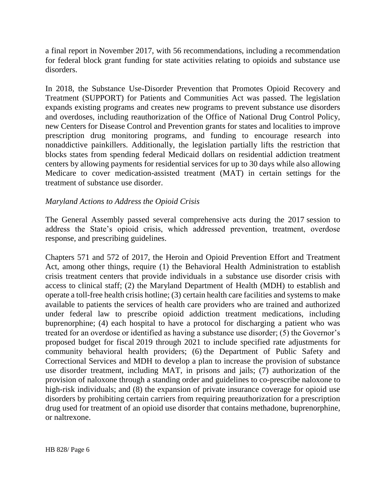a final report in November 2017, with 56 recommendations, including a recommendation for federal block grant funding for state activities relating to opioids and substance use disorders.

In 2018, the Substance Use-Disorder Prevention that Promotes Opioid Recovery and Treatment (SUPPORT) for Patients and Communities Act was passed. The legislation expands existing programs and creates new programs to prevent substance use disorders and overdoses, including reauthorization of the Office of National Drug Control Policy, new Centers for Disease Control and Prevention grants for states and localities to improve prescription drug monitoring programs, and funding to encourage research into nonaddictive painkillers. Additionally, the legislation partially lifts the restriction that blocks states from spending federal Medicaid dollars on residential addiction treatment centers by allowing payments for residential services for up to 30 days while also allowing Medicare to cover medication-assisted treatment (MAT) in certain settings for the treatment of substance use disorder.

## *Maryland Actions to Address the Opioid Crisis*

The General Assembly passed several comprehensive acts during the 2017 session to address the State's opioid crisis, which addressed prevention, treatment, overdose response, and prescribing guidelines.

Chapters 571 and 572 of 2017, the Heroin and Opioid Prevention Effort and Treatment Act, among other things, require (1) the Behavioral Health Administration to establish crisis treatment centers that provide individuals in a substance use disorder crisis with access to clinical staff; (2) the Maryland Department of Health (MDH) to establish and operate a toll-free health crisis hotline; (3) certain health care facilities and systems to make available to patients the services of health care providers who are trained and authorized under federal law to prescribe opioid addiction treatment medications, including buprenorphine; (4) each hospital to have a protocol for discharging a patient who was treated for an overdose or identified as having a substance use disorder; (5) the Governor's proposed budget for fiscal 2019 through 2021 to include specified rate adjustments for community behavioral health providers; (6) the Department of Public Safety and Correctional Services and MDH to develop a plan to increase the provision of substance use disorder treatment, including MAT, in prisons and jails; (7) authorization of the provision of naloxone through a standing order and guidelines to co-prescribe naloxone to high-risk individuals; and (8) the expansion of private insurance coverage for opioid use disorders by prohibiting certain carriers from requiring preauthorization for a prescription drug used for treatment of an opioid use disorder that contains methadone, buprenorphine, or naltrexone.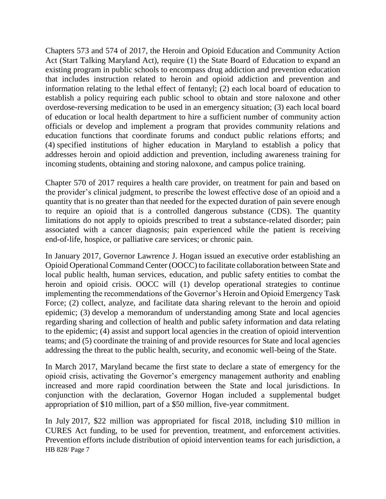Chapters 573 and 574 of 2017, the Heroin and Opioid Education and Community Action Act (Start Talking Maryland Act), require (1) the State Board of Education to expand an existing program in public schools to encompass drug addiction and prevention education that includes instruction related to heroin and opioid addiction and prevention and information relating to the lethal effect of fentanyl; (2) each local board of education to establish a policy requiring each public school to obtain and store naloxone and other overdose-reversing medication to be used in an emergency situation; (3) each local board of education or local health department to hire a sufficient number of community action officials or develop and implement a program that provides community relations and education functions that coordinate forums and conduct public relations efforts; and (4) specified institutions of higher education in Maryland to establish a policy that addresses heroin and opioid addiction and prevention, including awareness training for incoming students, obtaining and storing naloxone, and campus police training.

Chapter 570 of 2017 requires a health care provider, on treatment for pain and based on the provider's clinical judgment, to prescribe the lowest effective dose of an opioid and a quantity that is no greater than that needed for the expected duration of pain severe enough to require an opioid that is a controlled dangerous substance (CDS). The quantity limitations do not apply to opioids prescribed to treat a substance-related disorder; pain associated with a cancer diagnosis; pain experienced while the patient is receiving end-of-life, hospice, or palliative care services; or chronic pain.

In January 2017, Governor Lawrence J. Hogan issued an executive order establishing an Opioid Operational Command Center (OOCC) to facilitate collaboration between State and local public health, human services, education, and public safety entities to combat the heroin and opioid crisis. OOCC will (1) develop operational strategies to continue implementing the recommendations of the Governor's Heroin and Opioid Emergency Task Force; (2) collect, analyze, and facilitate data sharing relevant to the heroin and opioid epidemic; (3) develop a memorandum of understanding among State and local agencies regarding sharing and collection of health and public safety information and data relating to the epidemic; (4) assist and support local agencies in the creation of opioid intervention teams; and (5) coordinate the training of and provide resources for State and local agencies addressing the threat to the public health, security, and economic well-being of the State.

In March 2017, Maryland became the first state to declare a state of emergency for the opioid crisis, activating the Governor's emergency management authority and enabling increased and more rapid coordination between the State and local jurisdictions. In conjunction with the declaration, Governor Hogan included a supplemental budget appropriation of \$10 million, part of a \$50 million, five-year commitment.

HB 828/ Page 7 In July 2017, \$22 million was appropriated for fiscal 2018, including \$10 million in CURES Act funding, to be used for prevention, treatment, and enforcement activities. Prevention efforts include distribution of opioid intervention teams for each jurisdiction, a